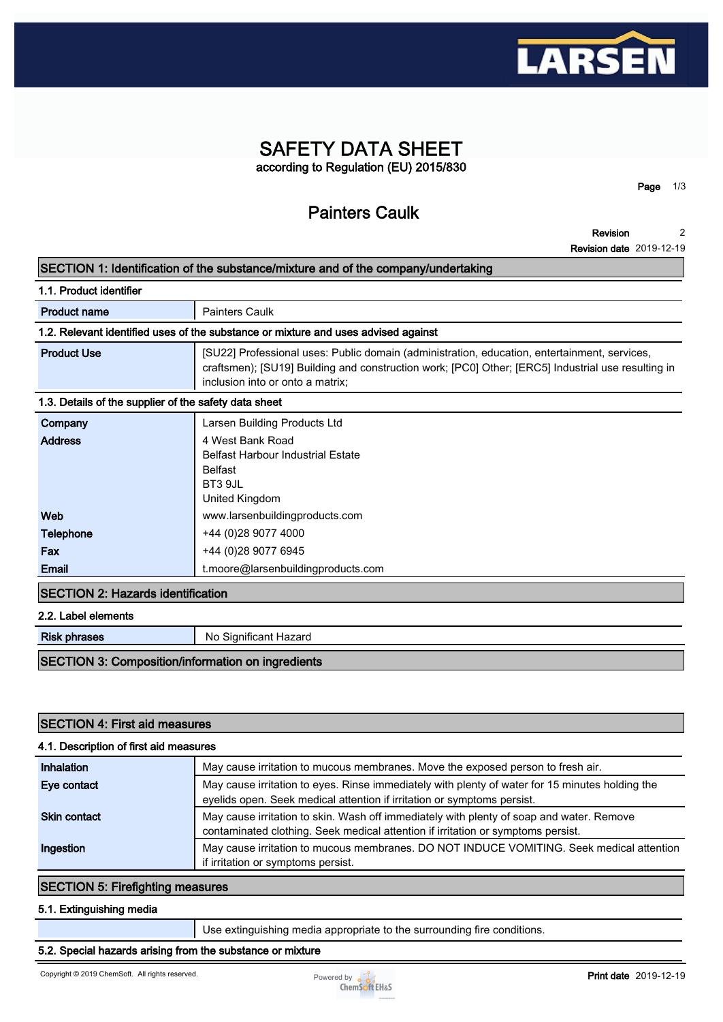

# **SAFETY DATA SHEET according to Regulation (EU) 2015/830**

**Painters Caulk**

**Revision 2**

**Page 1/3**

**Revision date 2019-12-19**

## **SECTION 1: Identification of the substance/mixture and of the company/undertaking**

| 1.1. Product identifier                               |                                                                                                                                                                                                                                        |
|-------------------------------------------------------|----------------------------------------------------------------------------------------------------------------------------------------------------------------------------------------------------------------------------------------|
| <b>Product name</b>                                   | <b>Painters Caulk</b>                                                                                                                                                                                                                  |
|                                                       | 1.2. Relevant identified uses of the substance or mixture and uses advised against                                                                                                                                                     |
| <b>Product Use</b>                                    | [SU22] Professional uses: Public domain (administration, education, entertainment, services,<br>craftsmen); [SU19] Building and construction work; [PC0] Other; [ERC5] Industrial use resulting in<br>inclusion into or onto a matrix; |
| 1.3. Details of the supplier of the safety data sheet |                                                                                                                                                                                                                                        |
| Company                                               | Larsen Building Products Ltd                                                                                                                                                                                                           |
| <b>Address</b>                                        | 4 West Bank Road<br><b>Belfast Harbour Industrial Estate</b><br><b>Belfast</b><br>BT3 9JL<br>United Kingdom                                                                                                                            |
| Web                                                   | www.larsenbuildingproducts.com                                                                                                                                                                                                         |
| <b>Telephone</b>                                      | +44 (0)28 9077 4000                                                                                                                                                                                                                    |
| Fax                                                   | +44 (0)28 9077 6945                                                                                                                                                                                                                    |
| Email                                                 | t.moore@larsenbuildingproducts.com                                                                                                                                                                                                     |
| <b>SECTION 2: Hazards identification</b>              |                                                                                                                                                                                                                                        |
| 2.2. Label elements                                   |                                                                                                                                                                                                                                        |

**Risk phrases** No Significant Hazard

### **SECTION 3: Composition/information on ingredients**

| <b>SECTION 4: First aid measures</b>   |                                                                                                                                                                              |  |  |  |
|----------------------------------------|------------------------------------------------------------------------------------------------------------------------------------------------------------------------------|--|--|--|
| 4.1. Description of first aid measures |                                                                                                                                                                              |  |  |  |
| Inhalation                             | May cause irritation to mucous membranes. Move the exposed person to fresh air.                                                                                              |  |  |  |
| Eye contact                            | May cause irritation to eyes. Rinse immediately with plenty of water for 15 minutes holding the<br>eyelids open. Seek medical attention if irritation or symptoms persist.   |  |  |  |
| <b>Skin contact</b>                    | May cause irritation to skin. Wash off immediately with plenty of soap and water. Remove<br>contaminated clothing. Seek medical attention if irritation or symptoms persist. |  |  |  |
| Ingestion                              | May cause irritation to mucous membranes. DO NOT INDUCE VOMITING. Seek medical attention<br>if irritation or symptoms persist.                                               |  |  |  |

## **SECTION 5: Firefighting measures**

#### **5.1. Extinguishing media**

**Use extinguishing media appropriate to the surrounding fire conditions.**

### **5.2. Special hazards arising from the substance or mixture**

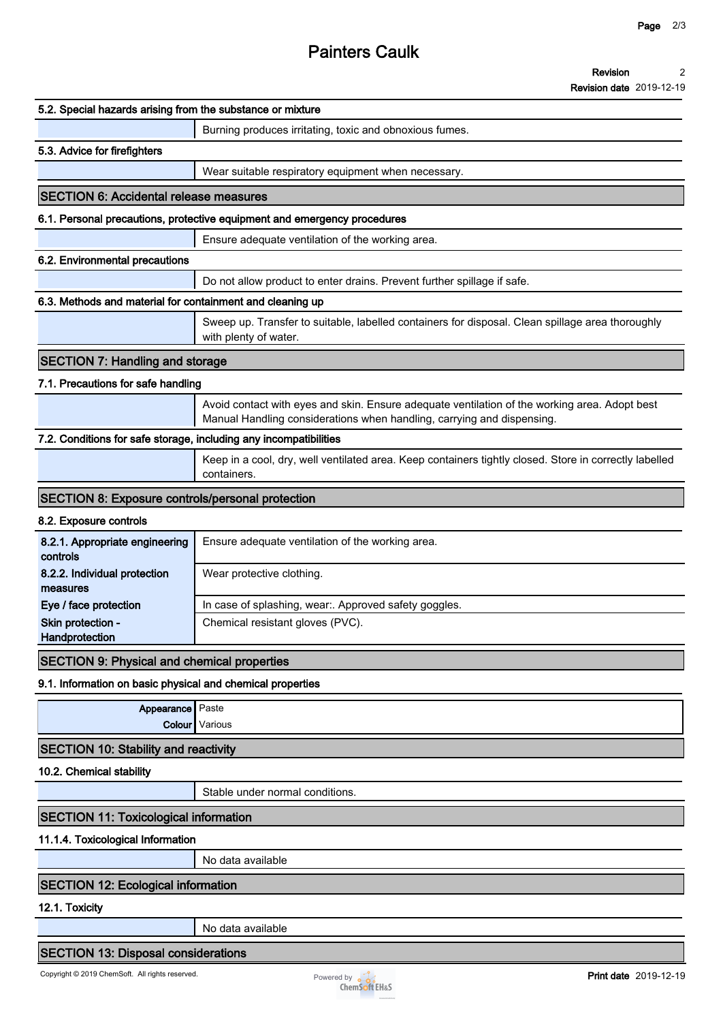# **Painters Caulk**

**Revision date 2019-12-19**

| 5.2. Special hazards arising from the substance or mixture        |                                                                                                                                                                         |
|-------------------------------------------------------------------|-------------------------------------------------------------------------------------------------------------------------------------------------------------------------|
|                                                                   | Burning produces irritating, toxic and obnoxious fumes.                                                                                                                 |
| 5.3. Advice for firefighters                                      |                                                                                                                                                                         |
|                                                                   | Wear suitable respiratory equipment when necessary.                                                                                                                     |
| <b>SECTION 6: Accidental release measures</b>                     |                                                                                                                                                                         |
|                                                                   | 6.1. Personal precautions, protective equipment and emergency procedures                                                                                                |
|                                                                   | Ensure adequate ventilation of the working area.                                                                                                                        |
| 6.2. Environmental precautions                                    |                                                                                                                                                                         |
|                                                                   | Do not allow product to enter drains. Prevent further spillage if safe.                                                                                                 |
| 6.3. Methods and material for containment and cleaning up         |                                                                                                                                                                         |
|                                                                   | Sweep up. Transfer to suitable, labelled containers for disposal. Clean spillage area thoroughly<br>with plenty of water.                                               |
| <b>SECTION 7: Handling and storage</b>                            |                                                                                                                                                                         |
| 7.1. Precautions for safe handling                                |                                                                                                                                                                         |
|                                                                   | Avoid contact with eyes and skin. Ensure adequate ventilation of the working area. Adopt best<br>Manual Handling considerations when handling, carrying and dispensing. |
| 7.2. Conditions for safe storage, including any incompatibilities |                                                                                                                                                                         |
|                                                                   | Keep in a cool, dry, well ventilated area. Keep containers tightly closed. Store in correctly labelled<br>containers.                                                   |
| <b>SECTION 8: Exposure controls/personal protection</b>           |                                                                                                                                                                         |
| 8.2. Exposure controls                                            |                                                                                                                                                                         |
| 8.2.1. Appropriate engineering<br>controls                        | Ensure adequate ventilation of the working area.                                                                                                                        |
| 8.2.2. Individual protection<br>measures                          | Wear protective clothing.                                                                                                                                               |
| Eye / face protection                                             | In case of splashing, wear:. Approved safety goggles.                                                                                                                   |
| Skin protection -<br>Handprotection                               | Chemical resistant gloves (PVC).                                                                                                                                        |
| <b>SECTION 9: Physical and chemical properties</b>                |                                                                                                                                                                         |
| 9.1. Information on basic physical and chemical properties        |                                                                                                                                                                         |
| Appearance Paste                                                  |                                                                                                                                                                         |
|                                                                   | Colour Various                                                                                                                                                          |
| <b>SECTION 10: Stability and reactivity</b>                       |                                                                                                                                                                         |
| 10.2. Chemical stability                                          |                                                                                                                                                                         |
|                                                                   | Stable under normal conditions.                                                                                                                                         |
| <b>SECTION 11: Toxicological information</b>                      |                                                                                                                                                                         |
| 11.1.4. Toxicological Information                                 |                                                                                                                                                                         |
|                                                                   | No data available                                                                                                                                                       |
|                                                                   |                                                                                                                                                                         |
| <b>SECTION 12: Ecological information</b>                         |                                                                                                                                                                         |
| 12.1. Toxicity                                                    | No data available                                                                                                                                                       |
|                                                                   |                                                                                                                                                                         |
| <b>SECTION 13: Disposal considerations</b>                        |                                                                                                                                                                         |